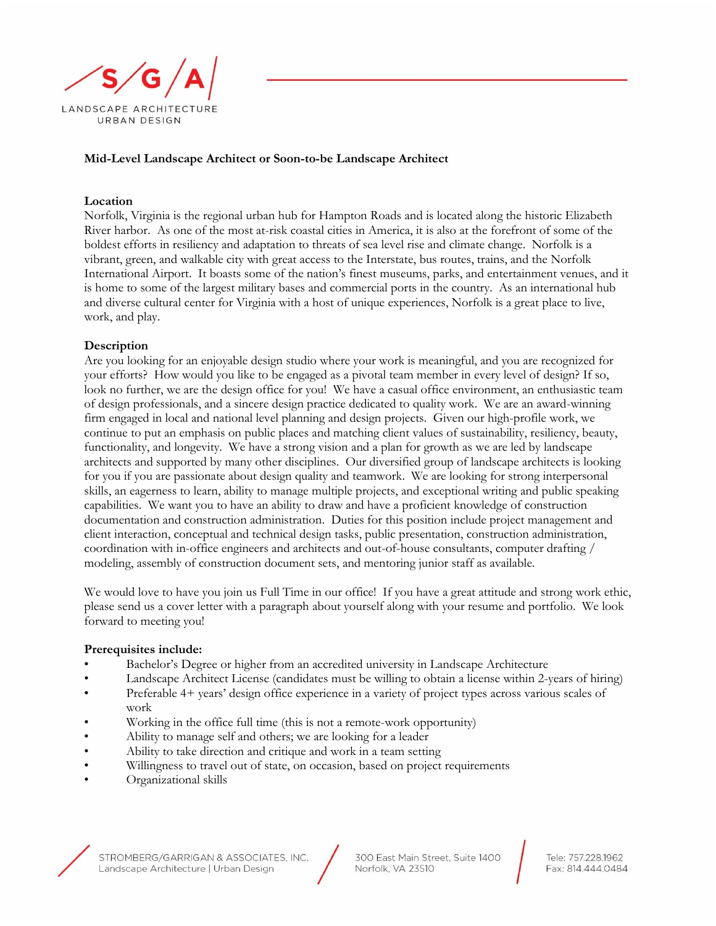

## **Mid-Level Landscape Architect or Soon-to-be Landscape Architect**

## **Location**

Norfolk, Virginia is the regional urban hub for Hampton Roads and is located along the historic Elizabeth River harbor. As one of the most at-risk coastal cities in America, it is also at the forefront of some of the boldest efforts in resiliency and adaptation to threats of sea level rise and climate change. Norfolk is a vibrant, green, and walkable city with great access to the Interstate, bus routes, trains, and the Norfolk International Airport. It boasts some of the nation's finest museums, parks, and entertainment venues, and it is home to some of the largest military bases and commercial ports in the country. As an international hub and diverse cultural center for Virginia with a host of unique experiences, Norfolk is a great place to live, work, and play.

## **Description**

Are you looking for an enjoyable design studio where your work is meaningful, and you are recognized for your efforts? How would you like to be engaged as a pivotal team member in every level of design? If so, look no further, we are the design office for you! We have a casual office environment, an enthusiastic team of design professionals, and a sincere design practice dedicated to quality work. We are an award-winning firm engaged in local and national level planning and design projects. Given our high-profile work, we continue to put an emphasis on public places and matching client values of sustainability, resiliency, beauty, functionality, and longevity. We have a strong vision and a plan for growth as we are led by landscape architects and supported by many other disciplines. Our diversified group of landscape architects is looking for you if you are passionate about design quality and teamwork. We are looking for strong interpersonal skills, an eagerness to learn, ability to manage multiple projects, and exceptional writing and public speaking capabilities. We want you to have an ability to draw and have a proficient knowledge of construction documentation and construction administration. Duties for this position include project management and client interaction, conceptual and technical design tasks, public presentation, construction administration, coordination with in-office engineers and architects and out-of-house consultants, computer drafting / modeling, assembly of construction document sets, and mentoring junior staff as available.

We would love to have you join us Full Time in our office! If you have a great attitude and strong work ethic, please send us a cover letter with a paragraph about yourself along with your resume and portfolio. We look forward to meeting you!

## **Prerequisites include:**

- Bachelor's Degree or higher from an accredited university in Landscape Architecture
- Landscape Architect License (candidates must be willing to obtain a license within 2-years of hiring)
- Preferable 4+ years' design office experience in a variety of project types across various scales of work
- Working in the office full time (this is not a remote-work opportunity)
- Ability to manage self and others; we are looking for a leader
- Ability to take direction and critique and work in a team setting
- Willingness to travel out of state, on occasion, based on project requirements
- Organizational skills





Tele: 757.228.1962 Fax: 814.444.0484